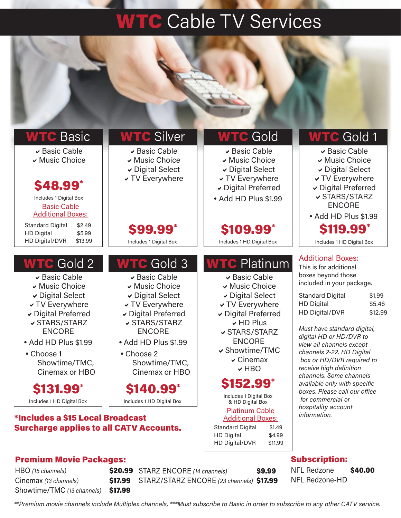## **WTC** Cable TV Services

| <b>WTC Basic</b><br>▼ Basic Cable<br>↓ Music Choice<br><b>\$48.99</b> *<br>Includes 1 Digital Box<br><b>Basic Cable</b><br><b>Additional Boxes:</b><br><b>Standard Digital</b><br>\$2.49                                                         | <b>WTC Silver</b><br>▼ Basic Cable<br>↓ Music Choice<br><b>▼ Digital Select</b><br><b>√ TV Everywhere</b>                                                                                                                                        | <b>WTC</b> Gold<br>▼ Basic Cable<br>▼ Music Choice<br><b>▼ Digital Select</b><br><b>√ TV Everywhere</b><br>Digital Preferred<br>• Add HD Plus \$1.99                                                                                               | <b>WTC</b> Gold <sub>1</sub><br>▼ Basic Cable<br>▼ Music Choice<br><b>▼ Digital Select</b><br>v TV Everywhere<br>↓ Digital Preferred<br><b>√ STARS/STARZ</b><br><b>ENCORE</b><br>• Add HD Plus \$1.99                                                                                                                                                                                                                                        |
|--------------------------------------------------------------------------------------------------------------------------------------------------------------------------------------------------------------------------------------------------|--------------------------------------------------------------------------------------------------------------------------------------------------------------------------------------------------------------------------------------------------|----------------------------------------------------------------------------------------------------------------------------------------------------------------------------------------------------------------------------------------------------|----------------------------------------------------------------------------------------------------------------------------------------------------------------------------------------------------------------------------------------------------------------------------------------------------------------------------------------------------------------------------------------------------------------------------------------------|
| <b>HD Digital</b><br>\$5.99<br>HD Digital/DVR<br>\$13.99                                                                                                                                                                                         | <b>\$99.99</b> *<br>Includes 1 Digital Box                                                                                                                                                                                                       | \$109.99*<br>Includes 1 HD Digital Box                                                                                                                                                                                                             | <b>\$119.99*</b><br>Includes 1 HD Digital Box                                                                                                                                                                                                                                                                                                                                                                                                |
| <b>WTC</b> Gold 2<br>► Basic Cable<br>↓ Music Choice<br><b>▼ Digital Select</b><br><b>√ TV Everywhere</b><br>Digital Preferred<br><b>√ STARS/STARZ</b><br><b>ENCORE</b><br>• Add HD Plus \$1.99<br>• Choose 1<br>Showtime/TMC,<br>Cinemax or HBO | <b>WTC</b> Gold 3<br>► Basic Cable<br>↓ Music Choice<br><b>▼ Digital Select</b><br><b>√ TV Everywhere</b><br>Digital Preferred<br><b>√ STARS/STARZ</b><br><b>ENCORE</b><br>• Add HD Plus \$1.99<br>• Choose 2<br>Showtime/TMC,<br>Cinemax or HBO | <b>WTC</b> Platinum<br>► Basic Cable<br>↓ Music Choice<br>Digital Select<br><b>√ TV Everywhere</b><br>Digital Preferred<br><b>↓HD Plus</b><br><b>√ STARS/STARZ</b><br><b>ENCORE</b><br>✓ Showtime/TMC<br>$\vee$ Cinemax<br>$\vee$ HBO<br>\$152.99* | <b>Additional Boxes:</b><br>This is for additional<br>boxes beyond those<br>included in your package.<br><b>Standard Digital</b><br>\$1.99<br><b>HD Digital</b><br>\$5.46<br>HD Digital/DVR<br>\$12.99<br>Must have standard digital,<br>digital HD or HD/DVR to<br>view all channels except<br>channels 2-22. HD Digital<br>box or HD/DVR required to<br>receive high definition<br>channels. Some channels<br>available only with specific |
| \$131.99*<br>Includes 1 HD Digital Box<br>*Includes a \$15 Local Broadcast                                                                                                                                                                       | \$140.99*<br>Includes 1 HD Digital Box                                                                                                                                                                                                           | Includes 1 Digital Box<br>& HD Digital Box<br><b>Platinum Cable</b><br><b>Additional Boxes:</b>                                                                                                                                                    | boxes. Please call our office<br>for commercial or<br>hospitality account<br>information.                                                                                                                                                                                                                                                                                                                                                    |
| <b>Surcharge applies to all CATV Accounts.</b>                                                                                                                                                                                                   |                                                                                                                                                                                                                                                  | <b>Standard Digital</b><br>\$1.49<br><b>HD Digital</b><br>\$4.99                                                                                                                                                                                   |                                                                                                                                                                                                                                                                                                                                                                                                                                              |

### Premium Movie Packages:

HBO (15 channels) Cinemax (13 channels) **\$17.99** Showtime/TMC (13 channels) \$17.99

\$20.99 STARZ ENCORE (14 channels) \$9.99 STARZ/STARZ ENCORE (23 channels) \$17.99

HD Digital/DVR \$11.99

### Subscription:

NFL Redzone \$40.00 NFL Redzone-HD

\*\*Premium movie channels include Multiplex channels, \*\*\*Must subscribe to Basic in order to subscribe to any other CATV service.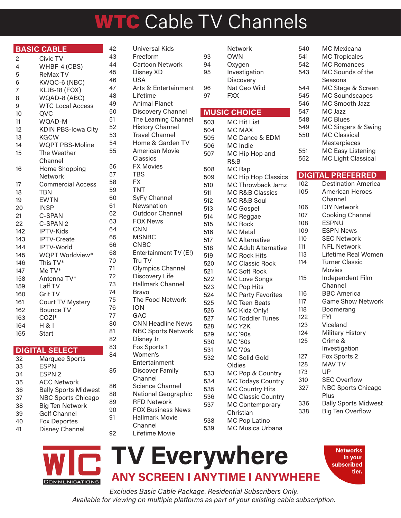# WTC Cable TV Channels

Network

|                | <b>BASIC CABLE</b>        |
|----------------|---------------------------|
| 2              | Civic TV                  |
| 4              | WHBF-4 (CBS)              |
| 5              | <b>ReMax TV</b>           |
| 6              | KWQC-6 (NBC)              |
| $\overline{7}$ | KLJB-18 (FOX)             |
| 8              | WQAD-8 (ABC)              |
| 9              | <b>WTC Local Access</b>   |
| 10             | QVC                       |
| 11             | WQAD-M                    |
| 12             | <b>KDIN PBS-lowa City</b> |
| 13             | <b>KGCW</b>               |
| 14             | <b>WQPT PBS-Moline</b>    |
| 15             | The Weather               |
|                | Channel                   |
| 16             | Home Shopping             |
|                | <b>Network</b>            |
| 17             | <b>Commercial Access</b>  |
| 18             | TBN                       |
| 19             | <b>EWTN</b>               |
| 20             | <b>INSP</b>               |
| 21             | C-SPAN                    |
| 22             | C-SPAN 2                  |
| 142            | IPTV-Kids                 |
| 143            | IPTV-Create               |
| 144            | IPTV-World                |
| 145            | WQPT Worldview*           |
| 146            | This TV*                  |
| 147            | Me TV*                    |
| 158            | Antenna TV*               |
| 159            | Laff TV                   |
| 160            | Grit TV                   |
| 161            | Court TV Mystery          |
| 162            | <b>Bounce TV</b>          |
| 163            | COZI*                     |
| 164            | H 81                      |
| 165            | <b>Start</b>              |
|                | <b>DIGITAL SELECT</b>     |
|                |                           |

Lifetime Movie

| 32 | Marquee Sports              |
|----|-----------------------------|
| 33 | ESPN                        |
| 34 | <b>ESPN 2</b>               |
| 35 | <b>ACC Network</b>          |
| 36 | <b>Bally Sports Midwest</b> |
| 37 | <b>NBC Sports Chicago</b>   |
| 38 | <b>Big Ten Network</b>      |
| 39 | <b>Golf Channel</b>         |
| 40 | <b>Fox Deportes</b>         |
| 41 | Disney Channel              |
|    |                             |

| 42 | Universal Kids            |
|----|---------------------------|
| 43 | Freeform                  |
| 44 | Cartoon Network           |
| 45 | Disney XD                 |
| 46 | <b>USA</b>                |
| 47 | Arts & Entertainment      |
| 48 | Lifetime                  |
| 49 | <b>Animal Planet</b>      |
| 50 | Discovery Channel         |
| 51 | The Learning Channel      |
| 52 | <b>History Channel</b>    |
| 53 | <b>Travel Channel</b>     |
| 54 | Home & Garden TV          |
| 55 | <b>American Movie</b>     |
|    | Classics                  |
| 56 | <b>FX Movies</b>          |
| 57 | <b>TBS</b>                |
| 58 | <b>FX</b>                 |
| 59 | <b>TNT</b>                |
| 60 | SyFy Channel              |
| 61 | Newsnation                |
| 62 | <b>Outdoor Channel</b>    |
| 63 | <b>FOX News</b>           |
| 64 | <b>CNN</b>                |
| 65 | <b>MSNBC</b>              |
| 66 | <b>CNBC</b>               |
| 68 | Entertainment TV (E!)     |
| 70 | Tru TV                    |
| 71 | Olympics Channel          |
| 72 | Discovery Life            |
| 73 | <b>Hallmark Channel</b>   |
| 74 | <b>Bravo</b>              |
| 75 | The Food Network          |
| 76 | <b>ION</b>                |
| 77 | GAC                       |
| 80 | <b>CNN Headline News</b>  |
| 81 | <b>NBC Sports Network</b> |
| 82 | Disney Jr.                |
| 83 | Fox Sports 1              |
| 84 | Women's                   |
|    | Entertainment             |
| 85 | Discover Family           |
|    | Channel                   |
| 86 | <b>Science Channel</b>    |
| 88 | National Geographic       |
| 89 | <b>RFD Network</b>        |
| 90 | <b>FOX Business News</b>  |
| 91 | <b>Hallmark Movie</b>     |
|    | Channel                   |

| 93  | OWN                       | 541         |
|-----|---------------------------|-------------|
| 94  | Oxygen                    | 542         |
| 95  | Investigation             | 543         |
|     | Discovery                 |             |
| 96  | Nat Geo Wild              | 544         |
| 97  | <b>FXX</b>                | 545         |
|     |                           | 546         |
|     | <b>MUSIC CHOICE</b>       | 547         |
| 503 | <b>MC Hit List</b>        | 548         |
| 504 | MC MAX                    | 549         |
| 505 | MC Dance & EDM            | 550         |
| 506 | MC Indie                  |             |
| 507 | MC Hip Hop and            | 551         |
|     | R&B                       | 552         |
| 508 | MC Rap                    |             |
| 509 | MC Hip Hop Classics       | <b>DIGI</b> |
| 510 | <b>MC Throwback Jamz</b>  | 102         |
| 511 | MC R&B Classics           | 105         |
| 512 | MC R&B Soul               |             |
| 513 | MC Gospel                 | 106         |
| 514 | MC Reggae                 | 107         |
| 515 | MC Rock                   | 108         |
| 516 | <b>MC</b> Metal           | 109         |
| 517 | <b>MC Alternative</b>     | 110         |
| 518 | MC Adult Alternative      | 111         |
| 519 | <b>MC Rock Hits</b>       | 113         |
| 520 | MC Classic Rock           | 114         |
| 521 | <b>MC Soft Rock</b>       |             |
| 522 | MC Love Songs             | 115         |
| 523 | MC Pop Hits               |             |
| 524 | <b>MC Party Favorites</b> | 116         |
| 525 | MC Teen Beats             | 117         |
| 526 | MC Kidz Only!             | 118         |
| 527 | MC Toddler Tunes          | 122         |
| 528 | MC Y <sub>2</sub> K       | 123         |
| 529 | <b>MC '90s</b>            | 124         |
| 530 | <b>MC '80s</b>            | 125         |
| 531 | <b>MC '70s</b>            |             |
| 532 | MC Solid Gold             | 127         |
|     | Oldies                    | 128         |
| 533 | MC Pop & Country          | 173         |
| 534 | MC Todays Country         | 310         |
| 535 | MC Country Hits           | 327         |
| 536 | MC Classic Country        |             |
| 537 | <b>MC Contemporary</b>    | 336         |
|     | Christian                 | 338         |
| 538 | MC Pop Latino             |             |
| 539 | MC Musica Urbana          |             |
|     |                           |             |

| 540 | MC Mexicana               |
|-----|---------------------------|
| 541 | <b>MC Tropicales</b>      |
| 542 | <b>MC Romances</b>        |
| 543 | MC Sounds of the          |
|     | Seasons                   |
| 544 | MC Stage & Screen         |
| 545 | <b>MC Soundscapes</b>     |
| 546 | <b>MC Smooth Jazz</b>     |
| 547 | MC Jazz                   |
| 548 | MC Blues                  |
| 549 | MC Singers & Swing        |
| 550 | MC Classical              |
|     | Masterpieces              |
| 551 | <b>MC Easy Listening</b>  |
| 552 | <b>MC Light Classical</b> |

#### TAL PREFERRED

| 102 | <b>Destination America</b>  |
|-----|-----------------------------|
| 105 | <b>American Heroes</b>      |
|     | Channel                     |
| 106 | <b>DIY Network</b>          |
| 107 | Cooking Channel             |
| 108 | <b>ESPNU</b>                |
| 109 | <b>ESPN News</b>            |
| 110 | <b>SEC Network</b>          |
| 111 | <b>NFL Network</b>          |
| 113 | Lifetime Real Women         |
| 114 | <b>Turner Classic</b>       |
|     | Movies                      |
| 115 | Independent Film            |
|     | Channel                     |
| 116 | <b>BBC</b> America          |
| 117 | <b>Game Show Network</b>    |
| 118 | Boomerang                   |
| 122 | <b>FYI</b>                  |
| 123 | Viceland                    |
| 124 | <b>Military History</b>     |
| 125 | Crime &                     |
|     | Investigation               |
| 127 | Fox Sports 2                |
| 128 | <b>MAV TV</b>               |
| 173 | UP                          |
| 310 | <b>SEC Overflow</b>         |
| 327 | <b>NBC Sports Chicago</b>   |
|     | Plus                        |
| 336 | <b>Bally Sports Midwest</b> |
| 338 | <b>Big Ten Overflow</b>     |
|     |                             |
|     |                             |



### TV Everywhere ANY SCREEN I ANYTIME I ANYWHERE

**Networks** in your subscribed tier.

Excludes Basic Cable Package. Residential Subscribers Only. Available for viewing on multiple platforms as part of your existing cable subscription.